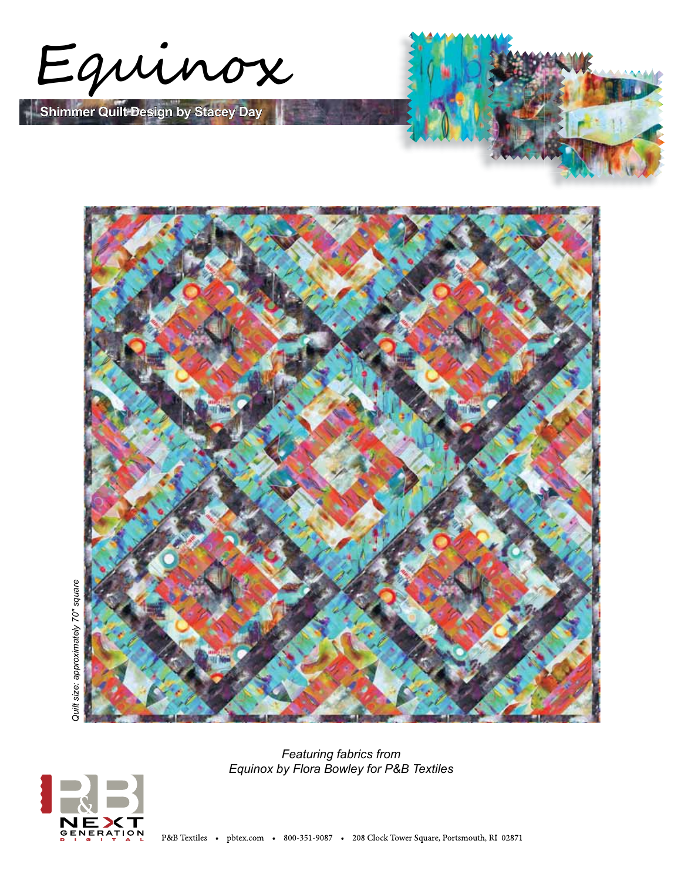

**Shimmer Quilt Design by Stacey Day**





*Featuring fabrics from Equinox by Flora Bowley for P&B Textiles*

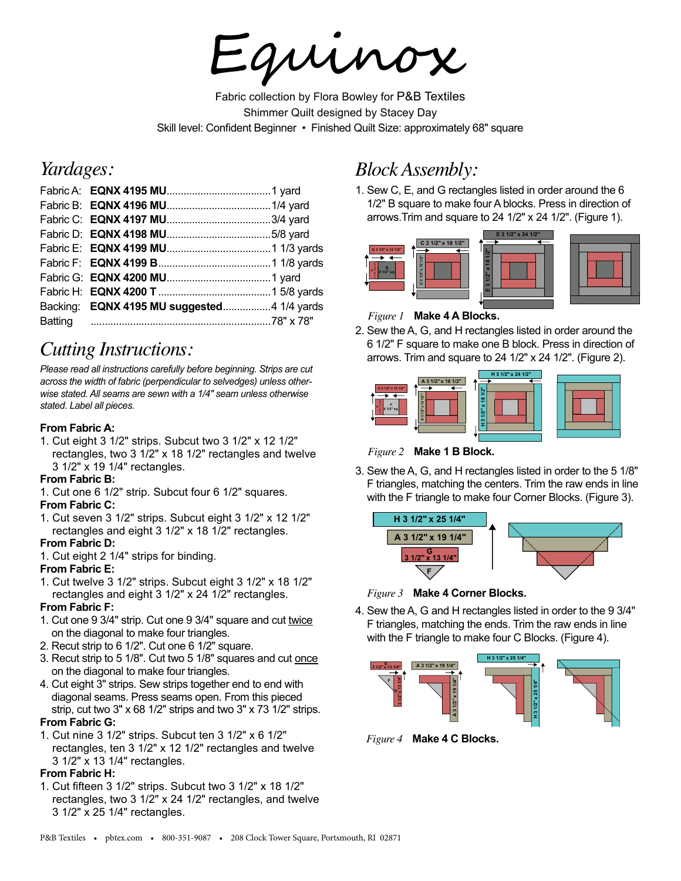arr

Fabric collection by Flora Bowley for P&B Textiles Shimmer Quilt designed by Stacey Day Skill level: Confident Beginner • Finished Quilt Size: approximately 68" square

## *Yardages:*

| Backing: EQNX 4195 MU suggested4 1/4 yards |  |
|--------------------------------------------|--|
|                                            |  |
|                                            |  |

## *Cutting Instructions:*

*Please read all instructions carefully before beginning. Strips are cut across the width of fabric (perpendicular to selvedges) unless otherwise stated. All seams are sewn with a 1/4" seam unless otherwise stated. Label all pieces.* 

#### **From Fabric A:**

1. Cut eight 3 1/2" strips. Subcut two 3 1/2" x 12 1/2" rectangles, two 3 1/2" x 18 1/2" rectangles and twelve 3 1/2" x 19 1/4" rectangles.

#### **From Fabric B:**

- 1. Cut one 6 1/2" strip. Subcut four 6 1/2" squares. **From Fabric C:**
- 1. Cut seven 3 1/2" strips. Subcut eight 3 1/2" x 12 1/2" rectangles and eight 3 1/2" x 18 1/2" rectangles.

#### **From Fabric D:**

1. Cut eight 2 1/4" strips for binding.

#### **From Fabric E:**

1. Cut twelve 3 1/2" strips. Subcut eight 3 1/2" x 18 1/2" rectangles and eight 3 1/2" x 24 1/2" rectangles.

#### **From Fabric F:**

- 1. Cut one 9 3/4" strip. Cut one 9 3/4" square and cut twice on the diagonal to make four triangles.
- 2. Recut strip to 6 1/2". Cut one 6 1/2" square.
- 3. Recut strip to 5 1/8". Cut two 5 1/8" squares and cut once on the diagonal to make four triangles.
- 4. Cut eight 3" strips. Sew strips together end to end with diagonal seams. Press seams open. From this pieced strip, cut two 3" x 68 1/2" strips and two 3" x 73 1/2" strips.

#### **From Fabric G:**

1. Cut nine 3 1/2" strips. Subcut ten 3 1/2" x 6 1/2" rectangles, ten 3 1/2" x 12 1/2" rectangles and twelve 3 1/2" x 13 1/4" rectangles.

#### **From Fabric H:**

1. Cut fifteen 3 1/2" strips. Subcut two 3 1/2" x 18 1/2" rectangles, two 3 1/2" x 24 1/2" rectangles, and twelve 3 1/2" x 25 1/4" rectangles.

# *Block Assembly:*

1. Sew C, E, and G rectangles listed in order around the 6 1/2" B square to make four A blocks. Press in direction of arrows.Trim and square to 24 1/2" x 24 1/2". (Figure 1).



#### *Figure 1* **Make 4 A Blocks.**

2. Sew the A, G, and H rectangles listed in order around the 6 1/2" F square to make one B block. Press in direction of arrows. Trim and square to 24 1/2" x 24 1/2". (Figure 2).



*Figure 2* **Make 1 B Block.**

3. Sew the A, G, and H rectangles listed in order to the 5 1/8" F triangles, matching the centers. Trim the raw ends in line with the F triangle to make four Corner Blocks. (Figure 3).



*Figure 3* **Make 4 Corner Blocks.**

4. Sew the A, G and H rectangles listed in order to the 9 3/4" F triangles, matching the ends. Trim the raw ends in line with the F triangle to make four C Blocks. (Figure 4).



*Figure 4* **Make 4 C Blocks.**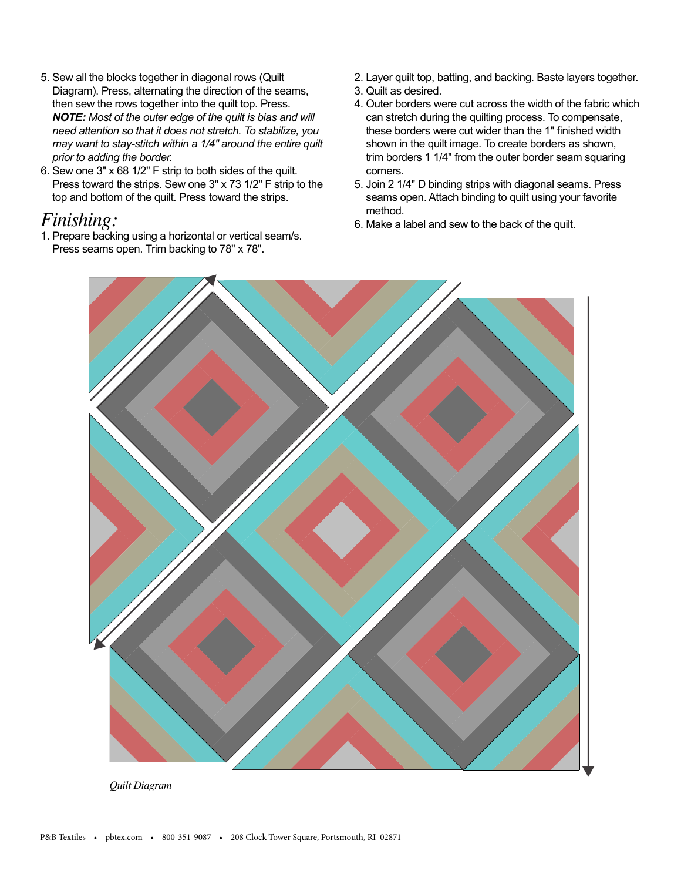- 5. Sew all the blocks together in diagonal rows (Quilt Diagram). Press, alternating the direction of the seams, then sew the rows together into the quilt top. Press. *NOTE: Most of the outer edge of the quilt is bias and will need attention so that it does not stretch. To stabilize, you may want to stay-stitch within a 1/4" around the entire quilt prior to adding the border.*
- 6. Sew one 3" x 68 1/2" F strip to both sides of the quilt. Press toward the strips. Sew one 3" x 73 1/2" F strip to the top and bottom of the quilt. Press toward the strips.

### *Finishing:*

1. Prepare backing using a horizontal or vertical seam/s. Press seams open. Trim backing to 78" x 78".

- 2. Layer quilt top, batting, and backing. Baste layers together.
- 3. Quilt as desired.
- 4. Outer borders were cut across the width of the fabric which can stretch during the quilting process. To compensate, these borders were cut wider than the 1" finished width shown in the quilt image. To create borders as shown, trim borders 1 1/4" from the outer border seam squaring corners.
- 5. Join 2 1/4" D binding strips with diagonal seams. Press seams open. Attach binding to quilt using your favorite method.
- 6. Make a label and sew to the back of the quilt.



*Quilt Diagram*